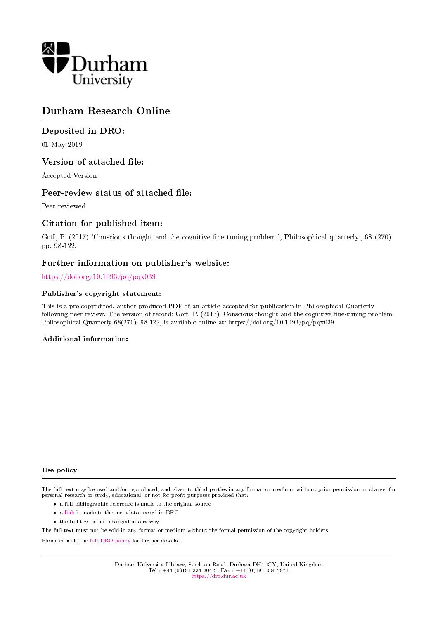

## Durham Research Online

#### Deposited in DRO:

01 May 2019

#### Version of attached file:

Accepted Version

#### Peer-review status of attached file:

Peer-reviewed

#### Citation for published item:

Goff, P. (2017) 'Conscious thought and the cognitive fine-tuning problem.', Philosophical quarterly., 68 (270). pp. 98-122.

#### Further information on publisher's website:

#### [https://doi.org/10.1093/pq/pqx039](https://doi.org/10.1093/pq/pqx039 )

#### Publisher's copyright statement:

This is a pre-copyedited, author-produced PDF of an article accepted for publication in Philosophical Quarterly following peer review. The version of record: Goff, P. (2017). Conscious thought and the cognitive fine-tuning problem. Philosophical Quarterly 68(270): 98-122, is available online at: https://doi.org/10.1093/pq/pqx039

#### Additional information:

#### Use policy

The full-text may be used and/or reproduced, and given to third parties in any format or medium, without prior permission or charge, for personal research or study, educational, or not-for-profit purposes provided that:

- a full bibliographic reference is made to the original source
- a [link](http://dro.dur.ac.uk/28080/) is made to the metadata record in DRO
- the full-text is not changed in any way

The full-text must not be sold in any format or medium without the formal permission of the copyright holders.

Please consult the [full DRO policy](https://dro.dur.ac.uk/policies/usepolicy.pdf) for further details.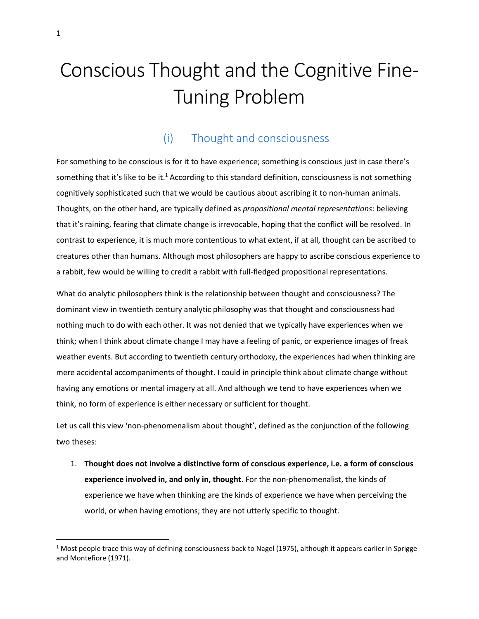# Conscious Thought and the Cognitive Fine-Tuning Problem

# (i) Thought and consciousness

For something to be conscious is for it to have experience; something is conscious just in case there's something that it's like to be it.<sup>1</sup> According to this standard definition, consciousness is not something cognitively sophisticated such that we would be cautious about ascribing it to non-human animals. Thoughts, on the other hand, are typically defined as *propositional mental representations*: believing that it's raining, fearing that climate change is irrevocable, hoping that the conflict will be resolved. In contrast to experience, it is much more contentious to what extent, if at all, thought can be ascribed to creatures other than humans. Although most philosophers are happy to ascribe conscious experience to a rabbit, few would be willing to credit a rabbit with full-fledged propositional representations.

What do analytic philosophers think is the relationship between thought and consciousness? The dominant view in twentieth century analytic philosophy was that thought and consciousness had nothing much to do with each other. It was not denied that we typically have experiences when we think; when I think about climate change I may have a feeling of panic, or experience images of freak weather events. But according to twentieth century orthodoxy, the experiences had when thinking are mere accidental accompaniments of thought. I could in principle think about climate change without having any emotions or mental imagery at all. And although we tend to have experiences when we think, no form of experience is either necessary or sufficient for thought.

Let us call this view 'non-phenomenalism about thought', defined as the conjunction of the following two theses:

1. **Thought does not involve a distinctive form of conscious experience, i.e. a form of conscious experience involved in, and only in, thought**. For the non-phenomenalist, the kinds of experience we have when thinking are the kinds of experience we have when perceiving the world, or when having emotions; they are not utterly specific to thought.

 $1$  Most people trace this way of defining consciousness back to Nagel (1975), although it appears earlier in Sprigge and Montefiore (1971).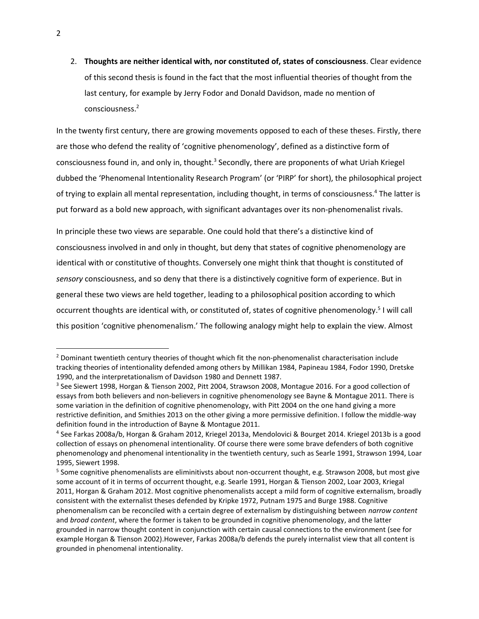2. **Thoughts are neither identical with, nor constituted of, states of consciousness**. Clear evidence of this second thesis is found in the fact that the most influential theories of thought from the last century, for example by Jerry Fodor and Donald Davidson, made no mention of consciousness. 2

In the twenty first century, there are growing movements opposed to each of these theses. Firstly, there are those who defend the reality of 'cognitive phenomenology', defined as a distinctive form of consciousness found in, and only in, thought.<sup>3</sup> Secondly, there are proponents of what Uriah Kriegel dubbed the 'Phenomenal Intentionality Research Program' (or 'PIRP' for short), the philosophical project of trying to explain all mental representation, including thought, in terms of consciousness.<sup>4</sup> The latter is put forward as a bold new approach, with significant advantages over its non-phenomenalist rivals.

In principle these two views are separable. One could hold that there's a distinctive kind of consciousness involved in and only in thought, but deny that states of cognitive phenomenology are identical with or constitutive of thoughts. Conversely one might think that thought is constituted of *sensory* consciousness, and so deny that there is a distinctively cognitive form of experience. But in general these two views are held together, leading to a philosophical position according to which occurrent thoughts are identical with, or constituted of, states of cognitive phenomenology.<sup>5</sup> I will call this position 'cognitive phenomenalism.' The following analogy might help to explain the view. Almost

 $\overline{a}$ 

<sup>&</sup>lt;sup>2</sup> Dominant twentieth century theories of thought which fit the non-phenomenalist characterisation include tracking theories of intentionality defended among others by Millikan 1984, Papineau 1984, Fodor 1990, Dretske 1990, and the interpretationalism of Davidson 1980 and Dennett 1987.

<sup>&</sup>lt;sup>3</sup> See Siewert 1998, Horgan & Tienson 2002, Pitt 2004, Strawson 2008, Montague 2016. For a good collection of essays from both believers and non-believers in cognitive phenomenology see Bayne & Montague 2011. There is some variation in the definition of cognitive phenomenology, with Pitt 2004 on the one hand giving a more restrictive definition, and Smithies 2013 on the other giving a more permissive definition. I follow the middle-way definition found in the introduction of Bayne & Montague 2011.

<sup>4</sup> See Farkas 2008a/b, Horgan & Graham 2012, Kriegel 2013a, Mendolovici & Bourget 2014. Kriegel 2013b is a good collection of essays on phenomenal intentionality. Of course there were some brave defenders of both cognitive phenomenology and phenomenal intentionality in the twentieth century, such as Searle 1991, Strawson 1994, Loar 1995, Siewert 1998.

<sup>&</sup>lt;sup>5</sup> Some cognitive phenomenalists are eliminitivsts about non-occurrent thought, e.g. Strawson 2008, but most give some account of it in terms of occurrent thought, e.g. Searle 1991, Horgan & Tienson 2002, Loar 2003, Kriegal 2011, Horgan & Graham 2012. Most cognitive phenomenalists accept a mild form of cognitive externalism, broadly consistent with the externalist theses defended by Kripke 1972, Putnam 1975 and Burge 1988. Cognitive phenomenalism can be reconciled with a certain degree of externalism by distinguishing between *narrow content* and *broad content*, where the former is taken to be grounded in cognitive phenomenology, and the latter grounded in narrow thought content in conjunction with certain causal connections to the environment (see for example Horgan & Tienson 2002).However, Farkas 2008a/b defends the purely internalist view that all content is grounded in phenomenal intentionality.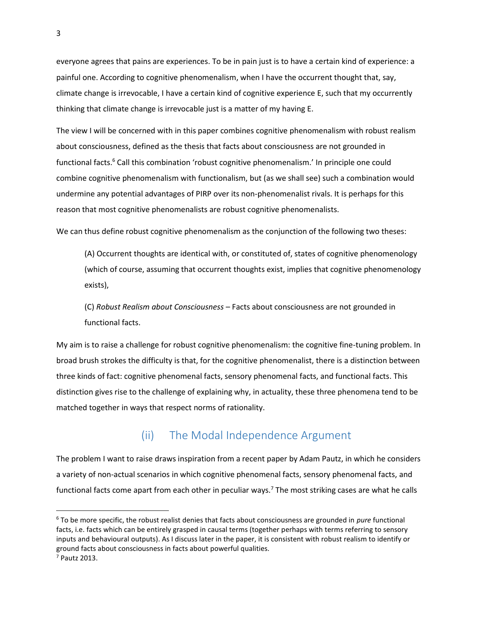everyone agrees that pains are experiences. To be in pain just is to have a certain kind of experience: a painful one. According to cognitive phenomenalism, when I have the occurrent thought that, say, climate change is irrevocable, I have a certain kind of cognitive experience E, such that my occurrently thinking that climate change is irrevocable just is a matter of my having E.

The view I will be concerned with in this paper combines cognitive phenomenalism with robust realism about consciousness, defined as the thesis that facts about consciousness are not grounded in functional facts.<sup>6</sup> Call this combination 'robust cognitive phenomenalism.' In principle one could combine cognitive phenomenalism with functionalism, but (as we shall see) such a combination would undermine any potential advantages of PIRP over its non-phenomenalist rivals. It is perhaps for this reason that most cognitive phenomenalists are robust cognitive phenomenalists.

We can thus define robust cognitive phenomenalism as the conjunction of the following two theses:

(A) Occurrent thoughts are identical with, or constituted of, states of cognitive phenomenology (which of course, assuming that occurrent thoughts exist, implies that cognitive phenomenology exists),

(C) *Robust Realism about Consciousness* – Facts about consciousness are not grounded in functional facts.

My aim is to raise a challenge for robust cognitive phenomenalism: the cognitive fine-tuning problem. In broad brush strokes the difficulty is that, for the cognitive phenomenalist, there is a distinction between three kinds of fact: cognitive phenomenal facts, sensory phenomenal facts, and functional facts. This distinction gives rise to the challenge of explaining why, in actuality, these three phenomena tend to be matched together in ways that respect norms of rationality.

## (ii) The Modal Independence Argument

The problem I want to raise draws inspiration from a recent paper by Adam Pautz, in which he considers a variety of non-actual scenarios in which cognitive phenomenal facts, sensory phenomenal facts, and functional facts come apart from each other in peculiar ways.<sup>7</sup> The most striking cases are what he calls

<sup>6</sup> To be more specific, the robust realist denies that facts about consciousness are grounded in *pure* functional facts, i.e. facts which can be entirely grasped in causal terms (together perhaps with terms referring to sensory inputs and behavioural outputs). As I discuss later in the paper, it is consistent with robust realism to identify or ground facts about consciousness in facts about powerful qualities.

<sup>7</sup> Pautz 2013.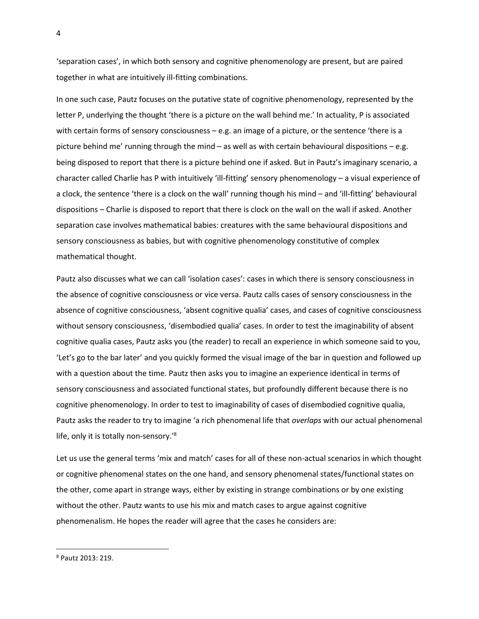'separation cases', in which both sensory and cognitive phenomenology are present, but are paired together in what are intuitively ill-fitting combinations.

In one such case, Pautz focuses on the putative state of cognitive phenomenology, represented by the letter P, underlying the thought 'there is a picture on the wall behind me.' In actuality, P is associated with certain forms of sensory consciousness – e.g. an image of a picture, or the sentence 'there is a picture behind me' running through the mind – as well as with certain behavioural dispositions – e.g. being disposed to report that there is a picture behind one if asked. But in Pautz's imaginary scenario, a character called Charlie has P with intuitively 'ill-fitting' sensory phenomenology – a visual experience of a clock, the sentence 'there is a clock on the wall' running though his mind – and 'ill-fitting' behavioural dispositions – Charlie is disposed to report that there is clock on the wall on the wall if asked. Another separation case involves mathematical babies: creatures with the same behavioural dispositions and sensory consciousness as babies, but with cognitive phenomenology constitutive of complex mathematical thought.

Pautz also discusses what we can call 'isolation cases': cases in which there is sensory consciousness in the absence of cognitive consciousness or vice versa. Pautz calls cases of sensory consciousness in the absence of cognitive consciousness, 'absent cognitive qualia' cases, and cases of cognitive consciousness without sensory consciousness, 'disembodied qualia' cases. In order to test the imaginability of absent cognitive qualia cases, Pautz asks you (the reader) to recall an experience in which someone said to you, 'Let's go to the bar later' and you quickly formed the visual image of the bar in question and followed up with a question about the time. Pautz then asks you to imagine an experience identical in terms of sensory consciousness and associated functional states, but profoundly different because there is no cognitive phenomenology. In order to test to imaginability of cases of disembodied cognitive qualia, Pautz asks the reader to try to imagine 'a rich phenomenal life that *overlaps* with our actual phenomenal life, only it is totally non-sensory.'<sup>8</sup>

Let us use the general terms 'mix and match' cases for all of these non-actual scenarios in which thought or cognitive phenomenal states on the one hand, and sensory phenomenal states/functional states on the other, come apart in strange ways, either by existing in strange combinations or by one existing without the other. Pautz wants to use his mix and match cases to argue against cognitive phenomenalism. He hopes the reader will agree that the cases he considers are:

<sup>8</sup> Pautz 2013: 219.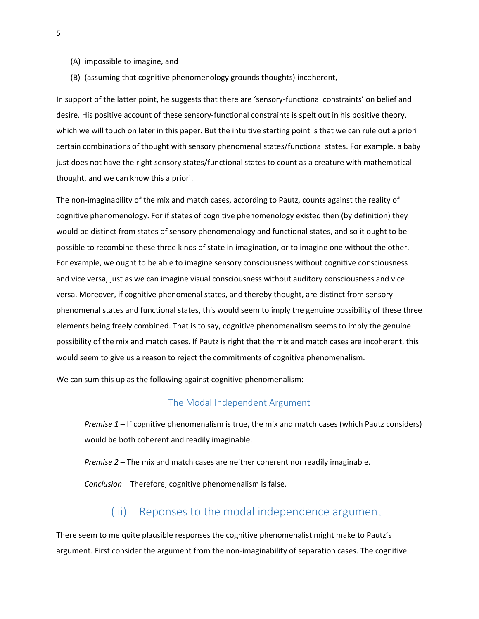- (A) impossible to imagine, and
- (B) (assuming that cognitive phenomenology grounds thoughts) incoherent,

In support of the latter point, he suggests that there are 'sensory-functional constraints' on belief and desire. His positive account of these sensory-functional constraints is spelt out in his positive theory, which we will touch on later in this paper. But the intuitive starting point is that we can rule out a priori certain combinations of thought with sensory phenomenal states/functional states. For example, a baby just does not have the right sensory states/functional states to count as a creature with mathematical thought, and we can know this a priori.

The non-imaginability of the mix and match cases, according to Pautz, counts against the reality of cognitive phenomenology. For if states of cognitive phenomenology existed then (by definition) they would be distinct from states of sensory phenomenology and functional states, and so it ought to be possible to recombine these three kinds of state in imagination, or to imagine one without the other. For example, we ought to be able to imagine sensory consciousness without cognitive consciousness and vice versa, just as we can imagine visual consciousness without auditory consciousness and vice versa. Moreover, if cognitive phenomenal states, and thereby thought, are distinct from sensory phenomenal states and functional states, this would seem to imply the genuine possibility of these three elements being freely combined. That is to say, cognitive phenomenalism seems to imply the genuine possibility of the mix and match cases. If Pautz is right that the mix and match cases are incoherent, this would seem to give us a reason to reject the commitments of cognitive phenomenalism.

We can sum this up as the following against cognitive phenomenalism:

#### The Modal Independent Argument

*Premise 1* – If cognitive phenomenalism is true, the mix and match cases (which Pautz considers) would be both coherent and readily imaginable.

*Premise 2* – The mix and match cases are neither coherent nor readily imaginable.

*Conclusion* – Therefore, cognitive phenomenalism is false.

### (iii) Reponses to the modal independence argument

There seem to me quite plausible responses the cognitive phenomenalist might make to Pautz's argument. First consider the argument from the non-imaginability of separation cases. The cognitive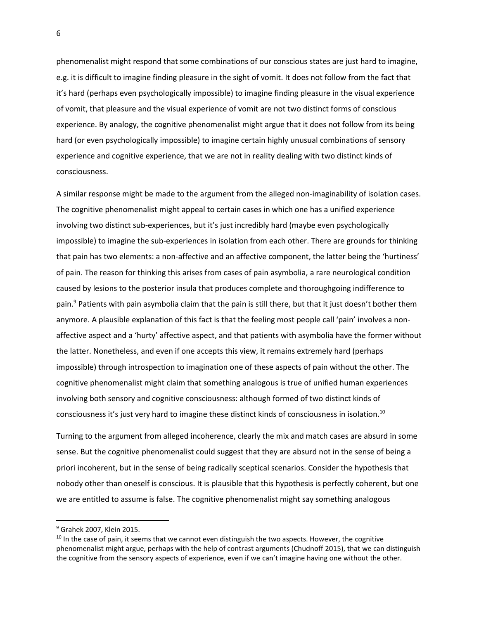phenomenalist might respond that some combinations of our conscious states are just hard to imagine, e.g. it is difficult to imagine finding pleasure in the sight of vomit. It does not follow from the fact that it's hard (perhaps even psychologically impossible) to imagine finding pleasure in the visual experience of vomit, that pleasure and the visual experience of vomit are not two distinct forms of conscious experience. By analogy, the cognitive phenomenalist might argue that it does not follow from its being hard (or even psychologically impossible) to imagine certain highly unusual combinations of sensory experience and cognitive experience, that we are not in reality dealing with two distinct kinds of consciousness.

A similar response might be made to the argument from the alleged non-imaginability of isolation cases. The cognitive phenomenalist might appeal to certain cases in which one has a unified experience involving two distinct sub-experiences, but it's just incredibly hard (maybe even psychologically impossible) to imagine the sub-experiences in isolation from each other. There are grounds for thinking that pain has two elements: a non-affective and an affective component, the latter being the 'hurtiness' of pain. The reason for thinking this arises from cases of pain asymbolia, a rare neurological condition caused by lesions to the posterior insula that produces complete and thoroughgoing indifference to pain.<sup>9</sup> Patients with pain asymbolia claim that the pain is still there, but that it just doesn't bother them anymore. A plausible explanation of this fact is that the feeling most people call 'pain' involves a nonaffective aspect and a 'hurty' affective aspect, and that patients with asymbolia have the former without the latter. Nonetheless, and even if one accepts this view, it remains extremely hard (perhaps impossible) through introspection to imagination one of these aspects of pain without the other. The cognitive phenomenalist might claim that something analogous is true of unified human experiences involving both sensory and cognitive consciousness: although formed of two distinct kinds of consciousness it's just very hard to imagine these distinct kinds of consciousness in isolation.<sup>10</sup>

Turning to the argument from alleged incoherence, clearly the mix and match cases are absurd in some sense. But the cognitive phenomenalist could suggest that they are absurd not in the sense of being a priori incoherent, but in the sense of being radically sceptical scenarios. Consider the hypothesis that nobody other than oneself is conscious. It is plausible that this hypothesis is perfectly coherent, but one we are entitled to assume is false. The cognitive phenomenalist might say something analogous

 $\overline{a}$ 

<sup>9</sup> Grahek 2007, Klein 2015.

 $10$  In the case of pain, it seems that we cannot even distinguish the two aspects. However, the cognitive phenomenalist might argue, perhaps with the help of contrast arguments (Chudnoff 2015), that we can distinguish the cognitive from the sensory aspects of experience, even if we can't imagine having one without the other.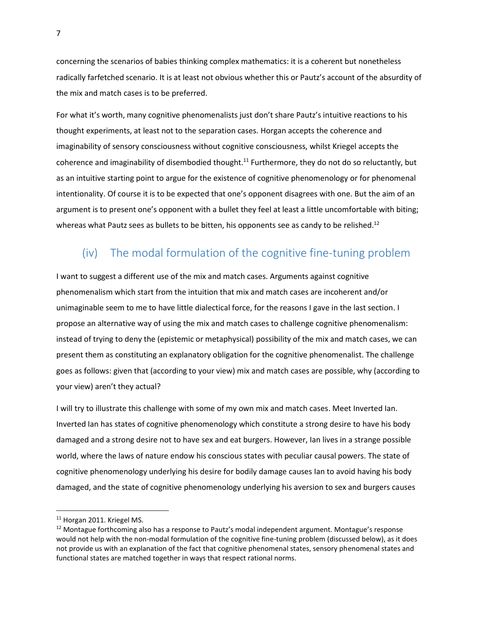concerning the scenarios of babies thinking complex mathematics: it is a coherent but nonetheless radically farfetched scenario. It is at least not obvious whether this or Pautz's account of the absurdity of the mix and match cases is to be preferred.

For what it's worth, many cognitive phenomenalists just don't share Pautz's intuitive reactions to his thought experiments, at least not to the separation cases. Horgan accepts the coherence and imaginability of sensory consciousness without cognitive consciousness, whilst Kriegel accepts the coherence and imaginability of disembodied thought.<sup>11</sup> Furthermore, they do not do so reluctantly, but as an intuitive starting point to argue for the existence of cognitive phenomenology or for phenomenal intentionality. Of course it is to be expected that one's opponent disagrees with one. But the aim of an argument is to present one's opponent with a bullet they feel at least a little uncomfortable with biting; whereas what Pautz sees as bullets to be bitten, his opponents see as candy to be relished.<sup>12</sup>

# (iv) The modal formulation of the cognitive fine-tuning problem

I want to suggest a different use of the mix and match cases. Arguments against cognitive phenomenalism which start from the intuition that mix and match cases are incoherent and/or unimaginable seem to me to have little dialectical force, for the reasons I gave in the last section. I propose an alternative way of using the mix and match cases to challenge cognitive phenomenalism: instead of trying to deny the (epistemic or metaphysical) possibility of the mix and match cases, we can present them as constituting an explanatory obligation for the cognitive phenomenalist. The challenge goes as follows: given that (according to your view) mix and match cases are possible, why (according to your view) aren't they actual?

I will try to illustrate this challenge with some of my own mix and match cases. Meet Inverted Ian. Inverted Ian has states of cognitive phenomenology which constitute a strong desire to have his body damaged and a strong desire not to have sex and eat burgers. However, Ian lives in a strange possible world, where the laws of nature endow his conscious states with peculiar causal powers. The state of cognitive phenomenology underlying his desire for bodily damage causes Ian to avoid having his body damaged, and the state of cognitive phenomenology underlying his aversion to sex and burgers causes

<sup>&</sup>lt;sup>11</sup> Horgan 2011. Kriegel MS.

<sup>&</sup>lt;sup>12</sup> Montague forthcoming also has a response to Pautz's modal independent argument. Montague's response would not help with the non-modal formulation of the cognitive fine-tuning problem (discussed below), as it does not provide us with an explanation of the fact that cognitive phenomenal states, sensory phenomenal states and functional states are matched together in ways that respect rational norms.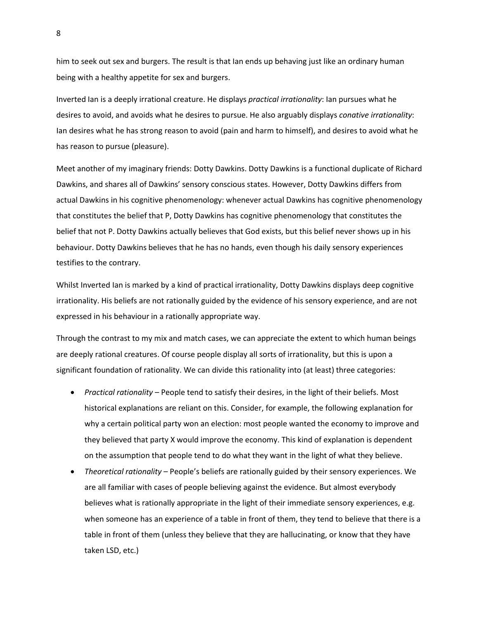him to seek out sex and burgers. The result is that Ian ends up behaving just like an ordinary human being with a healthy appetite for sex and burgers.

Inverted Ian is a deeply irrational creature. He displays *practical irrationality*: Ian pursues what he desires to avoid, and avoids what he desires to pursue. He also arguably displays *conative irrationality*: Ian desires what he has strong reason to avoid (pain and harm to himself), and desires to avoid what he has reason to pursue (pleasure).

Meet another of my imaginary friends: Dotty Dawkins. Dotty Dawkins is a functional duplicate of Richard Dawkins, and shares all of Dawkins' sensory conscious states. However, Dotty Dawkins differs from actual Dawkins in his cognitive phenomenology: whenever actual Dawkins has cognitive phenomenology that constitutes the belief that P, Dotty Dawkins has cognitive phenomenology that constitutes the belief that not P. Dotty Dawkins actually believes that God exists, but this belief never shows up in his behaviour. Dotty Dawkins believes that he has no hands, even though his daily sensory experiences testifies to the contrary.

Whilst Inverted Ian is marked by a kind of practical irrationality, Dotty Dawkins displays deep cognitive irrationality. His beliefs are not rationally guided by the evidence of his sensory experience, and are not expressed in his behaviour in a rationally appropriate way.

Through the contrast to my mix and match cases, we can appreciate the extent to which human beings are deeply rational creatures. Of course people display all sorts of irrationality, but this is upon a significant foundation of rationality. We can divide this rationality into (at least) three categories:

- *Practical rationality* People tend to satisfy their desires, in the light of their beliefs. Most historical explanations are reliant on this. Consider, for example, the following explanation for why a certain political party won an election: most people wanted the economy to improve and they believed that party X would improve the economy. This kind of explanation is dependent on the assumption that people tend to do what they want in the light of what they believe.
- *Theoretical rationality* People's beliefs are rationally guided by their sensory experiences. We are all familiar with cases of people believing against the evidence. But almost everybody believes what is rationally appropriate in the light of their immediate sensory experiences, e.g. when someone has an experience of a table in front of them, they tend to believe that there is a table in front of them (unless they believe that they are hallucinating, or know that they have taken LSD, etc.)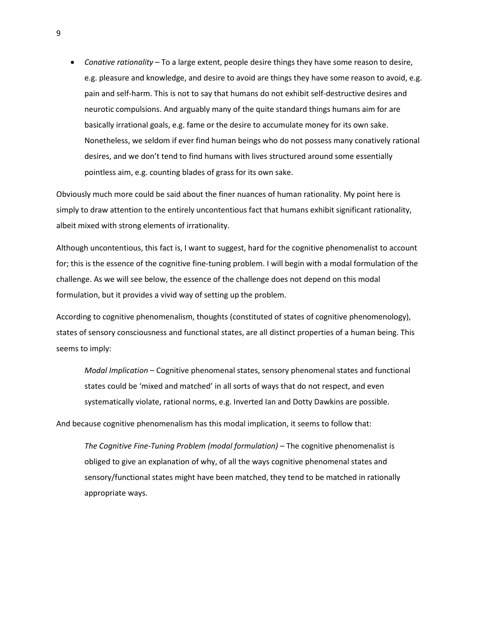*Conative rationality* – To a large extent, people desire things they have some reason to desire, e.g. pleasure and knowledge, and desire to avoid are things they have some reason to avoid, e.g. pain and self-harm. This is not to say that humans do not exhibit self-destructive desires and neurotic compulsions. And arguably many of the quite standard things humans aim for are basically irrational goals, e.g. fame or the desire to accumulate money for its own sake. Nonetheless, we seldom if ever find human beings who do not possess many conatively rational desires, and we don't tend to find humans with lives structured around some essentially pointless aim, e.g. counting blades of grass for its own sake.

Obviously much more could be said about the finer nuances of human rationality. My point here is simply to draw attention to the entirely uncontentious fact that humans exhibit significant rationality, albeit mixed with strong elements of irrationality.

Although uncontentious, this fact is, I want to suggest, hard for the cognitive phenomenalist to account for; this is the essence of the cognitive fine-tuning problem. I will begin with a modal formulation of the challenge. As we will see below, the essence of the challenge does not depend on this modal formulation, but it provides a vivid way of setting up the problem.

According to cognitive phenomenalism, thoughts (constituted of states of cognitive phenomenology), states of sensory consciousness and functional states, are all distinct properties of a human being. This seems to imply:

*Modal Implication* – Cognitive phenomenal states, sensory phenomenal states and functional states could be 'mixed and matched' in all sorts of ways that do not respect, and even systematically violate, rational norms, e.g. Inverted Ian and Dotty Dawkins are possible.

And because cognitive phenomenalism has this modal implication, it seems to follow that:

*The Cognitive Fine-Tuning Problem (modal formulation)* – The cognitive phenomenalist is obliged to give an explanation of why, of all the ways cognitive phenomenal states and sensory/functional states might have been matched, they tend to be matched in rationally appropriate ways.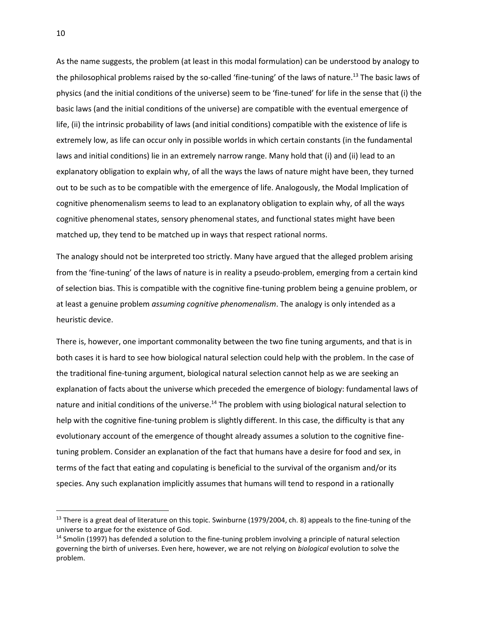As the name suggests, the problem (at least in this modal formulation) can be understood by analogy to the philosophical problems raised by the so-called 'fine-tuning' of the laws of nature.<sup>13</sup> The basic laws of physics (and the initial conditions of the universe) seem to be 'fine-tuned' for life in the sense that (i) the basic laws (and the initial conditions of the universe) are compatible with the eventual emergence of life, (ii) the intrinsic probability of laws (and initial conditions) compatible with the existence of life is extremely low, as life can occur only in possible worlds in which certain constants (in the fundamental laws and initial conditions) lie in an extremely narrow range. Many hold that (i) and (ii) lead to an explanatory obligation to explain why, of all the ways the laws of nature might have been, they turned out to be such as to be compatible with the emergence of life. Analogously, the Modal Implication of cognitive phenomenalism seems to lead to an explanatory obligation to explain why, of all the ways cognitive phenomenal states, sensory phenomenal states, and functional states might have been matched up, they tend to be matched up in ways that respect rational norms.

The analogy should not be interpreted too strictly. Many have argued that the alleged problem arising from the 'fine-tuning' of the laws of nature is in reality a pseudo-problem, emerging from a certain kind of selection bias. This is compatible with the cognitive fine-tuning problem being a genuine problem, or at least a genuine problem *assuming cognitive phenomenalism*. The analogy is only intended as a heuristic device.

There is, however, one important commonality between the two fine tuning arguments, and that is in both cases it is hard to see how biological natural selection could help with the problem. In the case of the traditional fine-tuning argument, biological natural selection cannot help as we are seeking an explanation of facts about the universe which preceded the emergence of biology: fundamental laws of nature and initial conditions of the universe.<sup>14</sup> The problem with using biological natural selection to help with the cognitive fine-tuning problem is slightly different. In this case, the difficulty is that any evolutionary account of the emergence of thought already assumes a solution to the cognitive finetuning problem. Consider an explanation of the fact that humans have a desire for food and sex, in terms of the fact that eating and copulating is beneficial to the survival of the organism and/or its species. Any such explanation implicitly assumes that humans will tend to respond in a rationally

 $13$  There is a great deal of literature on this topic. Swinburne (1979/2004, ch. 8) appeals to the fine-tuning of the universe to argue for the existence of God.

<sup>&</sup>lt;sup>14</sup> Smolin (1997) has defended a solution to the fine-tuning problem involving a principle of natural selection governing the birth of universes. Even here, however, we are not relying on *biological* evolution to solve the problem.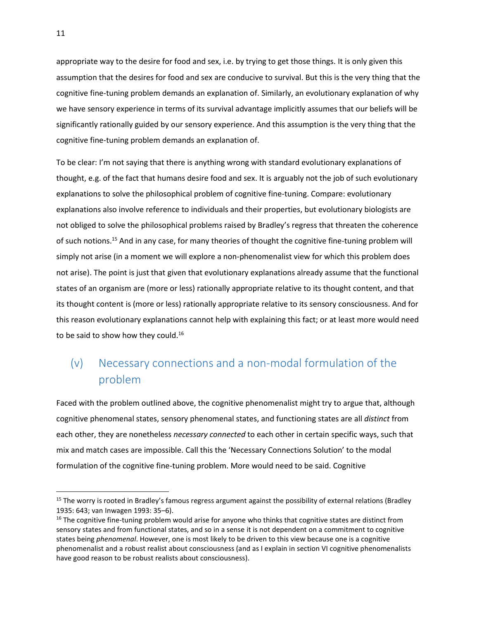appropriate way to the desire for food and sex, i.e. by trying to get those things. It is only given this assumption that the desires for food and sex are conducive to survival. But this is the very thing that the cognitive fine-tuning problem demands an explanation of. Similarly, an evolutionary explanation of why we have sensory experience in terms of its survival advantage implicitly assumes that our beliefs will be significantly rationally guided by our sensory experience. And this assumption is the very thing that the cognitive fine-tuning problem demands an explanation of.

To be clear: I'm not saying that there is anything wrong with standard evolutionary explanations of thought, e.g. of the fact that humans desire food and sex. It is arguably not the job of such evolutionary explanations to solve the philosophical problem of cognitive fine-tuning. Compare: evolutionary explanations also involve reference to individuals and their properties, but evolutionary biologists are not obliged to solve the philosophical problems raised by Bradley's regress that threaten the coherence of such notions.<sup>15</sup> And in any case, for many theories of thought the cognitive fine-tuning problem will simply not arise (in a moment we will explore a non-phenomenalist view for which this problem does not arise). The point is just that given that evolutionary explanations already assume that the functional states of an organism are (more or less) rationally appropriate relative to its thought content, and that its thought content is (more or less) rationally appropriate relative to its sensory consciousness. And for this reason evolutionary explanations cannot help with explaining this fact; or at least more would need to be said to show how they could.<sup>16</sup>

# (v) Necessary connections and a non-modal formulation of the problem

Faced with the problem outlined above, the cognitive phenomenalist might try to argue that, although cognitive phenomenal states, sensory phenomenal states, and functioning states are all *distinct* from each other, they are nonetheless *necessary connected* to each other in certain specific ways, such that mix and match cases are impossible. Call this the 'Necessary Connections Solution' to the modal formulation of the cognitive fine-tuning problem. More would need to be said. Cognitive

 $15$  The worry is rooted in Bradley's famous regress argument against the possibility of external relations (Bradley 1935: 643; van Inwagen 1993: 35–6).

<sup>&</sup>lt;sup>16</sup> The cognitive fine-tuning problem would arise for anyone who thinks that cognitive states are distinct from sensory states and from functional states, and so in a sense it is not dependent on a commitment to cognitive states being *phenomenal*. However, one is most likely to be driven to this view because one is a cognitive phenomenalist and a robust realist about consciousness (and as I explain in section VI cognitive phenomenalists have good reason to be robust realists about consciousness).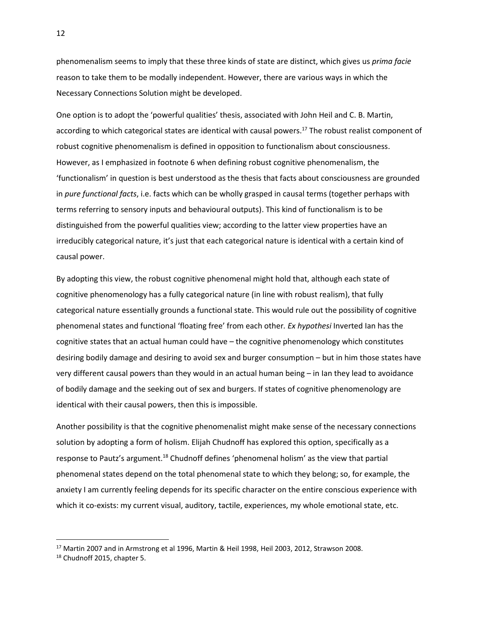phenomenalism seems to imply that these three kinds of state are distinct, which gives us *prima facie* reason to take them to be modally independent. However, there are various ways in which the Necessary Connections Solution might be developed.

One option is to adopt the 'powerful qualities' thesis, associated with John Heil and C. B. Martin, according to which categorical states are identical with causal powers.<sup>17</sup> The robust realist component of robust cognitive phenomenalism is defined in opposition to functionalism about consciousness. However, as I emphasized in footnote 6 when defining robust cognitive phenomenalism, the 'functionalism' in question is best understood as the thesis that facts about consciousness are grounded in *pure functional facts*, i.e. facts which can be wholly grasped in causal terms (together perhaps with terms referring to sensory inputs and behavioural outputs). This kind of functionalism is to be distinguished from the powerful qualities view; according to the latter view properties have an irreducibly categorical nature, it's just that each categorical nature is identical with a certain kind of causal power.

By adopting this view, the robust cognitive phenomenal might hold that, although each state of cognitive phenomenology has a fully categorical nature (in line with robust realism), that fully categorical nature essentially grounds a functional state. This would rule out the possibility of cognitive phenomenal states and functional 'floating free' from each other*. Ex hypothesi* Inverted Ian has the cognitive states that an actual human could have – the cognitive phenomenology which constitutes desiring bodily damage and desiring to avoid sex and burger consumption – but in him those states have very different causal powers than they would in an actual human being – in Ian they lead to avoidance of bodily damage and the seeking out of sex and burgers. If states of cognitive phenomenology are identical with their causal powers, then this is impossible.

Another possibility is that the cognitive phenomenalist might make sense of the necessary connections solution by adopting a form of holism. Elijah Chudnoff has explored this option, specifically as a response to Pautz's argument.<sup>18</sup> Chudnoff defines 'phenomenal holism' as the view that partial phenomenal states depend on the total phenomenal state to which they belong; so, for example, the anxiety I am currently feeling depends for its specific character on the entire conscious experience with which it co-exists: my current visual, auditory, tactile, experiences, my whole emotional state, etc.

 $17$  Martin 2007 and in Armstrong et al 1996, Martin & Heil 1998, Heil 2003, 2012, Strawson 2008.

<sup>18</sup> Chudnoff 2015, chapter 5.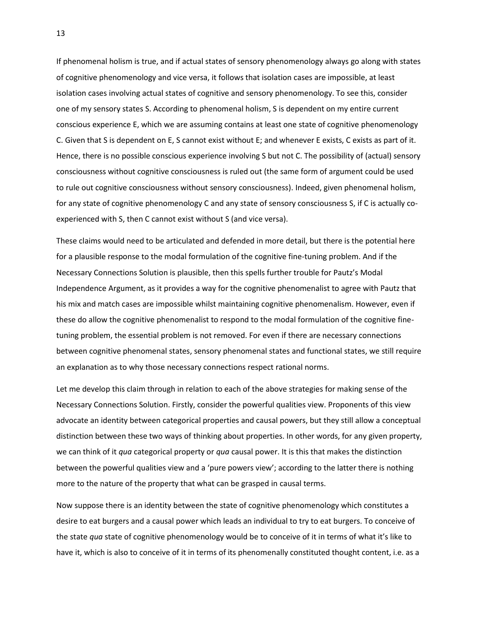If phenomenal holism is true, and if actual states of sensory phenomenology always go along with states of cognitive phenomenology and vice versa, it follows that isolation cases are impossible, at least isolation cases involving actual states of cognitive and sensory phenomenology. To see this, consider one of my sensory states S. According to phenomenal holism, S is dependent on my entire current conscious experience E, which we are assuming contains at least one state of cognitive phenomenology C. Given that S is dependent on E, S cannot exist without E; and whenever E exists, C exists as part of it. Hence, there is no possible conscious experience involving S but not C. The possibility of (actual) sensory consciousness without cognitive consciousness is ruled out (the same form of argument could be used to rule out cognitive consciousness without sensory consciousness). Indeed, given phenomenal holism, for any state of cognitive phenomenology C and any state of sensory consciousness S, if C is actually coexperienced with S, then C cannot exist without S (and vice versa).

These claims would need to be articulated and defended in more detail, but there is the potential here for a plausible response to the modal formulation of the cognitive fine-tuning problem. And if the Necessary Connections Solution is plausible, then this spells further trouble for Pautz's Modal Independence Argument, as it provides a way for the cognitive phenomenalist to agree with Pautz that his mix and match cases are impossible whilst maintaining cognitive phenomenalism. However, even if these do allow the cognitive phenomenalist to respond to the modal formulation of the cognitive finetuning problem, the essential problem is not removed. For even if there are necessary connections between cognitive phenomenal states, sensory phenomenal states and functional states, we still require an explanation as to why those necessary connections respect rational norms.

Let me develop this claim through in relation to each of the above strategies for making sense of the Necessary Connections Solution. Firstly, consider the powerful qualities view. Proponents of this view advocate an identity between categorical properties and causal powers, but they still allow a conceptual distinction between these two ways of thinking about properties. In other words, for any given property, we can think of it *qua* categorical property or *qua* causal power. It is this that makes the distinction between the powerful qualities view and a 'pure powers view'; according to the latter there is nothing more to the nature of the property that what can be grasped in causal terms.

Now suppose there is an identity between the state of cognitive phenomenology which constitutes a desire to eat burgers and a causal power which leads an individual to try to eat burgers. To conceive of the state *qua* state of cognitive phenomenology would be to conceive of it in terms of what it's like to have it, which is also to conceive of it in terms of its phenomenally constituted thought content, i.e. as a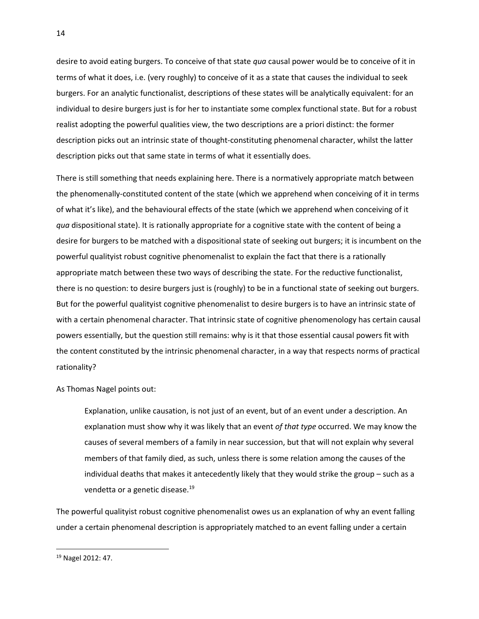desire to avoid eating burgers. To conceive of that state *qua* causal power would be to conceive of it in terms of what it does, i.e. (very roughly) to conceive of it as a state that causes the individual to seek burgers. For an analytic functionalist, descriptions of these states will be analytically equivalent: for an individual to desire burgers just is for her to instantiate some complex functional state. But for a robust realist adopting the powerful qualities view, the two descriptions are a priori distinct: the former description picks out an intrinsic state of thought-constituting phenomenal character, whilst the latter description picks out that same state in terms of what it essentially does.

There is still something that needs explaining here. There is a normatively appropriate match between the phenomenally-constituted content of the state (which we apprehend when conceiving of it in terms of what it's like), and the behavioural effects of the state (which we apprehend when conceiving of it *qua* dispositional state). It is rationally appropriate for a cognitive state with the content of being a desire for burgers to be matched with a dispositional state of seeking out burgers; it is incumbent on the powerful qualityist robust cognitive phenomenalist to explain the fact that there is a rationally appropriate match between these two ways of describing the state. For the reductive functionalist, there is no question: to desire burgers just is (roughly) to be in a functional state of seeking out burgers. But for the powerful qualityist cognitive phenomenalist to desire burgers is to have an intrinsic state of with a certain phenomenal character. That intrinsic state of cognitive phenomenology has certain causal powers essentially, but the question still remains: why is it that those essential causal powers fit with the content constituted by the intrinsic phenomenal character, in a way that respects norms of practical rationality?

As Thomas Nagel points out:

Explanation, unlike causation, is not just of an event, but of an event under a description. An explanation must show why it was likely that an event *of that type* occurred. We may know the causes of several members of a family in near succession, but that will not explain why several members of that family died, as such, unless there is some relation among the causes of the individual deaths that makes it antecedently likely that they would strike the group – such as a vendetta or a genetic disease.<sup>19</sup>

The powerful qualityist robust cognitive phenomenalist owes us an explanation of why an event falling under a certain phenomenal description is appropriately matched to an event falling under a certain

<sup>19</sup> Nagel 2012: 47.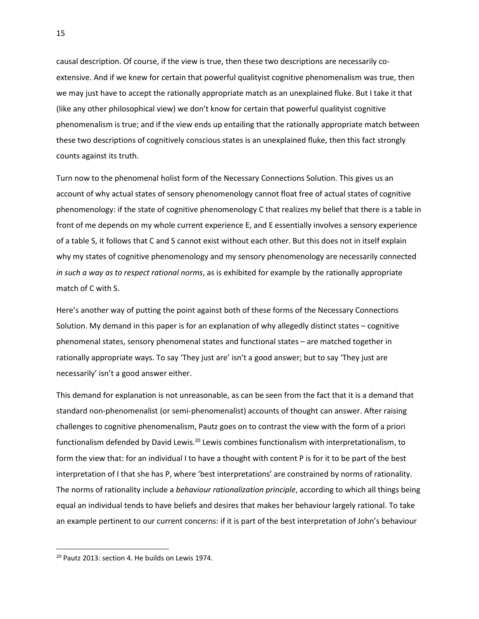causal description. Of course, if the view is true, then these two descriptions are necessarily coextensive. And if we knew for certain that powerful qualityist cognitive phenomenalism was true, then we may just have to accept the rationally appropriate match as an unexplained fluke. But I take it that (like any other philosophical view) we don't know for certain that powerful qualityist cognitive phenomenalism is true; and if the view ends up entailing that the rationally appropriate match between these two descriptions of cognitively conscious states is an unexplained fluke, then this fact strongly counts against its truth.

Turn now to the phenomenal holist form of the Necessary Connections Solution. This gives us an account of why actual states of sensory phenomenology cannot float free of actual states of cognitive phenomenology: if the state of cognitive phenomenology C that realizes my belief that there is a table in front of me depends on my whole current experience E, and E essentially involves a sensory experience of a table S, it follows that C and S cannot exist without each other. But this does not in itself explain why my states of cognitive phenomenology and my sensory phenomenology are necessarily connected *in such a way as to respect rational norms*, as is exhibited for example by the rationally appropriate match of C with S.

Here's another way of putting the point against both of these forms of the Necessary Connections Solution. My demand in this paper is for an explanation of why allegedly distinct states – cognitive phenomenal states, sensory phenomenal states and functional states – are matched together in rationally appropriate ways. To say 'They just are' isn't a good answer; but to say 'They just are necessarily' isn't a good answer either.

This demand for explanation is not unreasonable, as can be seen from the fact that it is a demand that standard non-phenomenalist (or semi-phenomenalist) accounts of thought can answer. After raising challenges to cognitive phenomenalism, Pautz goes on to contrast the view with the form of a priori functionalism defended by David Lewis.<sup>20</sup> Lewis combines functionalism with interpretationalism, to form the view that: for an individual I to have a thought with content P is for it to be part of the best interpretation of I that she has P, where 'best interpretations' are constrained by norms of rationality. The norms of rationality include a *behaviour rationalization principle*, according to which all things being equal an individual tends to have beliefs and desires that makes her behaviour largely rational. To take an example pertinent to our current concerns: if it is part of the best interpretation of John's behaviour

<sup>&</sup>lt;sup>20</sup> Pautz 2013: section 4. He builds on Lewis 1974.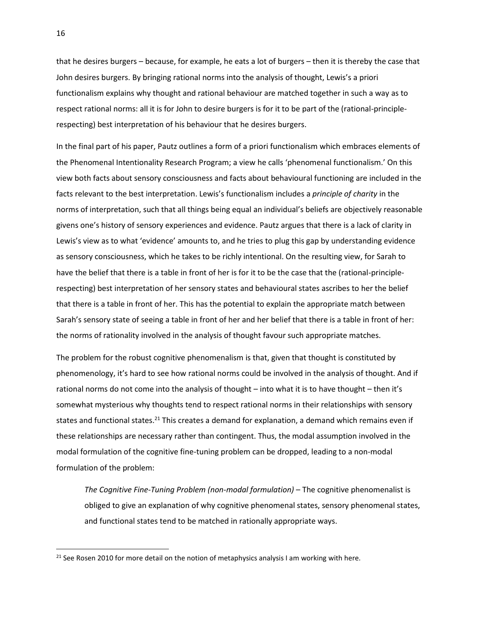that he desires burgers – because, for example, he eats a lot of burgers – then it is thereby the case that John desires burgers. By bringing rational norms into the analysis of thought, Lewis's a priori functionalism explains why thought and rational behaviour are matched together in such a way as to respect rational norms: all it is for John to desire burgers is for it to be part of the (rational-principlerespecting) best interpretation of his behaviour that he desires burgers.

In the final part of his paper, Pautz outlines a form of a priori functionalism which embraces elements of the Phenomenal Intentionality Research Program; a view he calls 'phenomenal functionalism.' On this view both facts about sensory consciousness and facts about behavioural functioning are included in the facts relevant to the best interpretation. Lewis's functionalism includes a *principle of charity* in the norms of interpretation, such that all things being equal an individual's beliefs are objectively reasonable givens one's history of sensory experiences and evidence. Pautz argues that there is a lack of clarity in Lewis's view as to what 'evidence' amounts to, and he tries to plug this gap by understanding evidence as sensory consciousness, which he takes to be richly intentional. On the resulting view, for Sarah to have the belief that there is a table in front of her is for it to be the case that the (rational-principlerespecting) best interpretation of her sensory states and behavioural states ascribes to her the belief that there is a table in front of her. This has the potential to explain the appropriate match between Sarah's sensory state of seeing a table in front of her and her belief that there is a table in front of her: the norms of rationality involved in the analysis of thought favour such appropriate matches.

The problem for the robust cognitive phenomenalism is that, given that thought is constituted by phenomenology, it's hard to see how rational norms could be involved in the analysis of thought. And if rational norms do not come into the analysis of thought – into what it is to have thought – then it's somewhat mysterious why thoughts tend to respect rational norms in their relationships with sensory states and functional states.<sup>21</sup> This creates a demand for explanation, a demand which remains even if these relationships are necessary rather than contingent. Thus, the modal assumption involved in the modal formulation of the cognitive fine-tuning problem can be dropped, leading to a non-modal formulation of the problem:

*The Cognitive Fine-Tuning Problem (non-modal formulation)* – The cognitive phenomenalist is obliged to give an explanation of why cognitive phenomenal states, sensory phenomenal states, and functional states tend to be matched in rationally appropriate ways.

<sup>&</sup>lt;sup>21</sup> See Rosen 2010 for more detail on the notion of metaphysics analysis I am working with here.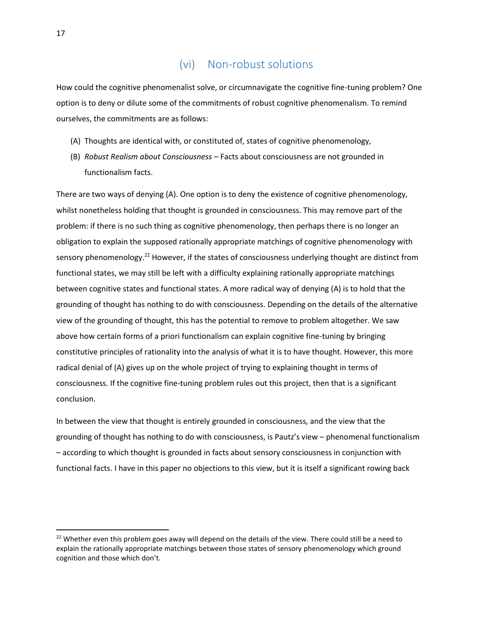## (vi) Non-robust solutions

How could the cognitive phenomenalist solve, or circumnavigate the cognitive fine-tuning problem? One option is to deny or dilute some of the commitments of robust cognitive phenomenalism. To remind ourselves, the commitments are as follows:

- (A) Thoughts are identical with, or constituted of, states of cognitive phenomenology,
- (B) *Robust Realism about Consciousness* Facts about consciousness are not grounded in functionalism facts.

There are two ways of denying (A). One option is to deny the existence of cognitive phenomenology, whilst nonetheless holding that thought is grounded in consciousness. This may remove part of the problem: if there is no such thing as cognitive phenomenology, then perhaps there is no longer an obligation to explain the supposed rationally appropriate matchings of cognitive phenomenology with sensory phenomenology.<sup>22</sup> However, if the states of consciousness underlying thought are distinct from functional states, we may still be left with a difficulty explaining rationally appropriate matchings between cognitive states and functional states. A more radical way of denying (A) is to hold that the grounding of thought has nothing to do with consciousness. Depending on the details of the alternative view of the grounding of thought, this has the potential to remove to problem altogether. We saw above how certain forms of a priori functionalism can explain cognitive fine-tuning by bringing constitutive principles of rationality into the analysis of what it is to have thought. However, this more radical denial of (A) gives up on the whole project of trying to explaining thought in terms of consciousness. If the cognitive fine-tuning problem rules out this project, then that is a significant conclusion.

In between the view that thought is entirely grounded in consciousness, and the view that the grounding of thought has nothing to do with consciousness, is Pautz's view – phenomenal functionalism – according to which thought is grounded in facts about sensory consciousness in conjunction with functional facts. I have in this paper no objections to this view, but it is itself a significant rowing back

<sup>&</sup>lt;sup>22</sup> Whether even this problem goes away will depend on the details of the view. There could still be a need to explain the rationally appropriate matchings between those states of sensory phenomenology which ground cognition and those which don't.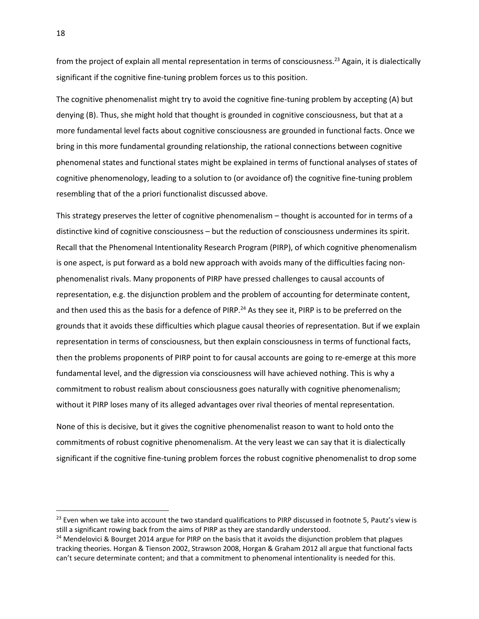from the project of explain all mental representation in terms of consciousness.<sup>23</sup> Again, it is dialectically significant if the cognitive fine-tuning problem forces us to this position.

The cognitive phenomenalist might try to avoid the cognitive fine-tuning problem by accepting (A) but denying (B). Thus, she might hold that thought is grounded in cognitive consciousness, but that at a more fundamental level facts about cognitive consciousness are grounded in functional facts. Once we bring in this more fundamental grounding relationship, the rational connections between cognitive phenomenal states and functional states might be explained in terms of functional analyses of states of cognitive phenomenology, leading to a solution to (or avoidance of) the cognitive fine-tuning problem resembling that of the a priori functionalist discussed above.

This strategy preserves the letter of cognitive phenomenalism – thought is accounted for in terms of a distinctive kind of cognitive consciousness – but the reduction of consciousness undermines its spirit. Recall that the Phenomenal Intentionality Research Program (PIRP), of which cognitive phenomenalism is one aspect, is put forward as a bold new approach with avoids many of the difficulties facing nonphenomenalist rivals. Many proponents of PIRP have pressed challenges to causal accounts of representation, e.g. the disjunction problem and the problem of accounting for determinate content, and then used this as the basis for a defence of PIRP.<sup>24</sup> As they see it, PIRP is to be preferred on the grounds that it avoids these difficulties which plague causal theories of representation. But if we explain representation in terms of consciousness, but then explain consciousness in terms of functional facts, then the problems proponents of PIRP point to for causal accounts are going to re-emerge at this more fundamental level, and the digression via consciousness will have achieved nothing. This is why a commitment to robust realism about consciousness goes naturally with cognitive phenomenalism; without it PIRP loses many of its alleged advantages over rival theories of mental representation.

None of this is decisive, but it gives the cognitive phenomenalist reason to want to hold onto the commitments of robust cognitive phenomenalism. At the very least we can say that it is dialectically significant if the cognitive fine-tuning problem forces the robust cognitive phenomenalist to drop some

 $23$  Even when we take into account the two standard qualifications to PIRP discussed in footnote 5, Pautz's view is still a significant rowing back from the aims of PIRP as they are standardly understood.

<sup>&</sup>lt;sup>24</sup> Mendelovici & Bourget 2014 argue for PIRP on the basis that it avoids the disjunction problem that plagues tracking theories. Horgan & Tienson 2002, Strawson 2008, Horgan & Graham 2012 all argue that functional facts can't secure determinate content; and that a commitment to phenomenal intentionality is needed for this.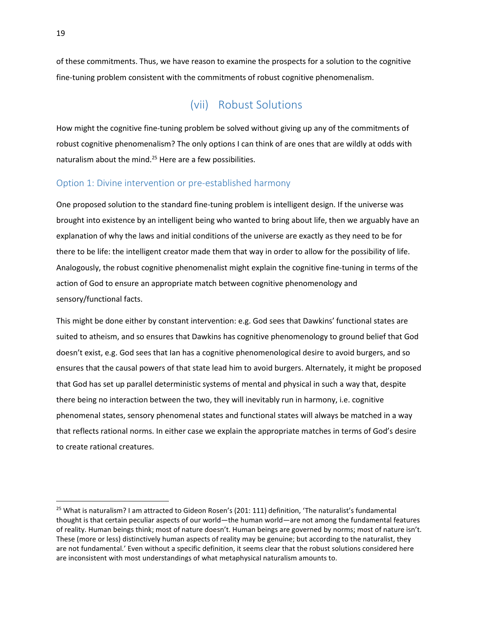of these commitments. Thus, we have reason to examine the prospects for a solution to the cognitive fine-tuning problem consistent with the commitments of robust cognitive phenomenalism.

# (vii) Robust Solutions

How might the cognitive fine-tuning problem be solved without giving up any of the commitments of robust cognitive phenomenalism? The only options I can think of are ones that are wildly at odds with naturalism about the mind.<sup>25</sup> Here are a few possibilities.

#### Option 1: Divine intervention or pre-established harmony

One proposed solution to the standard fine-tuning problem is intelligent design. If the universe was brought into existence by an intelligent being who wanted to bring about life, then we arguably have an explanation of why the laws and initial conditions of the universe are exactly as they need to be for there to be life: the intelligent creator made them that way in order to allow for the possibility of life. Analogously, the robust cognitive phenomenalist might explain the cognitive fine-tuning in terms of the action of God to ensure an appropriate match between cognitive phenomenology and sensory/functional facts.

This might be done either by constant intervention: e.g. God sees that Dawkins' functional states are suited to atheism, and so ensures that Dawkins has cognitive phenomenology to ground belief that God doesn't exist, e.g. God sees that Ian has a cognitive phenomenological desire to avoid burgers, and so ensures that the causal powers of that state lead him to avoid burgers. Alternately, it might be proposed that God has set up parallel deterministic systems of mental and physical in such a way that, despite there being no interaction between the two, they will inevitably run in harmony, i.e. cognitive phenomenal states, sensory phenomenal states and functional states will always be matched in a way that reflects rational norms. In either case we explain the appropriate matches in terms of God's desire to create rational creatures.

 $\overline{a}$ 

<sup>&</sup>lt;sup>25</sup> What is naturalism? I am attracted to Gideon Rosen's (201: 111) definition, 'The naturalist's fundamental thought is that certain peculiar aspects of our world—the human world—are not among the fundamental features of reality. Human beings think; most of nature doesn't. Human beings are governed by norms; most of nature isn't. These (more or less) distinctively human aspects of reality may be genuine; but according to the naturalist, they are not fundamental.' Even without a specific definition, it seems clear that the robust solutions considered here are inconsistent with most understandings of what metaphysical naturalism amounts to.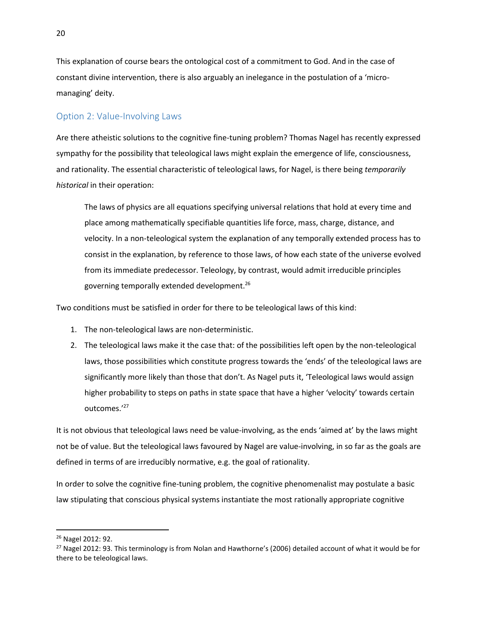This explanation of course bears the ontological cost of a commitment to God. And in the case of constant divine intervention, there is also arguably an inelegance in the postulation of a 'micromanaging' deity.

#### Option 2: Value-Involving Laws

Are there atheistic solutions to the cognitive fine-tuning problem? Thomas Nagel has recently expressed sympathy for the possibility that teleological laws might explain the emergence of life, consciousness, and rationality. The essential characteristic of teleological laws, for Nagel, is there being *temporarily historical* in their operation:

The laws of physics are all equations specifying universal relations that hold at every time and place among mathematically specifiable quantities life force, mass, charge, distance, and velocity. In a non-teleological system the explanation of any temporally extended process has to consist in the explanation, by reference to those laws, of how each state of the universe evolved from its immediate predecessor. Teleology, by contrast, would admit irreducible principles governing temporally extended development.<sup>26</sup>

Two conditions must be satisfied in order for there to be teleological laws of this kind:

- 1. The non-teleological laws are non-deterministic.
- 2. The teleological laws make it the case that: of the possibilities left open by the non-teleological laws, those possibilities which constitute progress towards the 'ends' of the teleological laws are significantly more likely than those that don't. As Nagel puts it, 'Teleological laws would assign higher probability to steps on paths in state space that have a higher 'velocity' towards certain outcomes.'<sup>27</sup>

It is not obvious that teleological laws need be value-involving, as the ends 'aimed at' by the laws might not be of value. But the teleological laws favoured by Nagel are value-involving, in so far as the goals are defined in terms of are irreducibly normative, e.g. the goal of rationality.

In order to solve the cognitive fine-tuning problem, the cognitive phenomenalist may postulate a basic law stipulating that conscious physical systems instantiate the most rationally appropriate cognitive

<sup>26</sup> Nagel 2012: 92.

 $27$  Nagel 2012: 93. This terminology is from Nolan and Hawthorne's (2006) detailed account of what it would be for there to be teleological laws.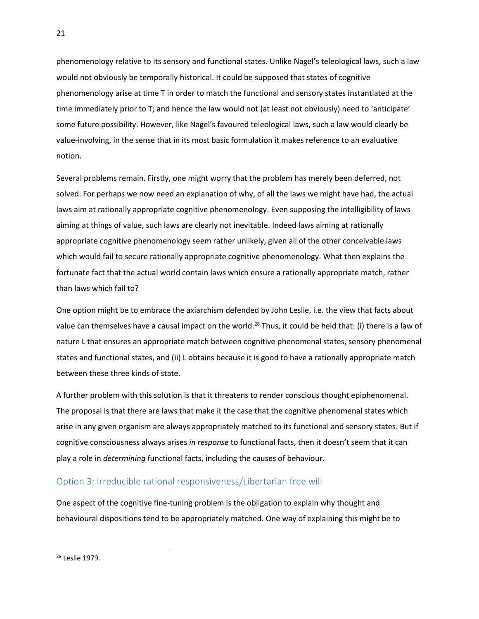phenomenology relative to its sensory and functional states. Unlike Nagel's teleological laws, such a law would not obviously be temporally historical. It could be supposed that states of cognitive phenomenology arise at time T in order to match the functional and sensory states instantiated at the time immediately prior to T; and hence the law would not (at least not obviously) need to 'anticipate' some future possibility. However, like Nagel's favoured teleological laws, such a law would clearly be value-involving, in the sense that in its most basic formulation it makes reference to an evaluative notion.

Several problems remain. Firstly, one might worry that the problem has merely been deferred, not solved. For perhaps we now need an explanation of why, of all the laws we might have had, the actual laws aim at rationally appropriate cognitive phenomenology. Even supposing the intelligibility of laws aiming at things of value, such laws are clearly not inevitable. Indeed laws aiming at rationally appropriate cognitive phenomenology seem rather unlikely, given all of the other conceivable laws which would fail to secure rationally appropriate cognitive phenomenology. What then explains the fortunate fact that the actual world contain laws which ensure a rationally appropriate match, rather than laws which fail to?

One option might be to embrace the axiarchism defended by John Leslie, i.e. the view that facts about value can themselves have a causal impact on the world.<sup>28</sup> Thus, it could be held that: (i) there is a law of nature L that ensures an appropriate match between cognitive phenomenal states, sensory phenomenal states and functional states, and (ii) L obtains because it is good to have a rationally appropriate match between these three kinds of state.

A further problem with this solution is that it threatens to render conscious thought epiphenomenal. The proposal is that there are laws that make it the case that the cognitive phenomenal states which arise in any given organism are always appropriately matched to its functional and sensory states. But if cognitive consciousness always arises *in response* to functional facts, then it doesn't seem that it can play a role in *determining* functional facts, including the causes of behaviour.

#### Option 3: Irreducible rational responsiveness/Libertarian free will

One aspect of the cognitive fine-tuning problem is the obligation to explain why thought and behavioural dispositions tend to be appropriately matched. One way of explaining this might be to

<sup>28</sup> Leslie 1979.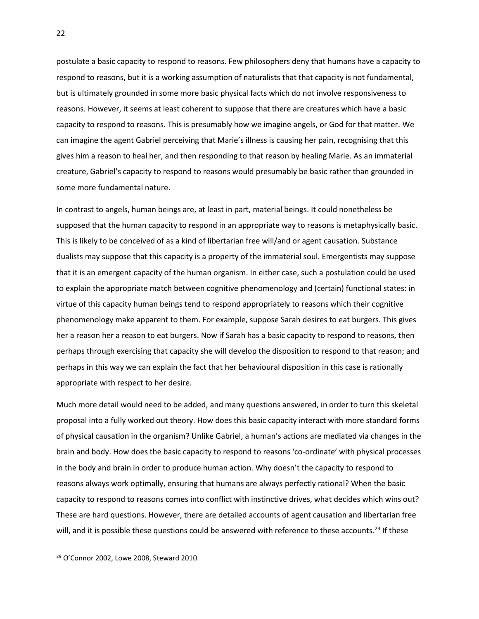postulate a basic capacity to respond to reasons. Few philosophers deny that humans have a capacity to respond to reasons, but it is a working assumption of naturalists that that capacity is not fundamental, but is ultimately grounded in some more basic physical facts which do not involve responsiveness to reasons. However, it seems at least coherent to suppose that there are creatures which have a basic capacity to respond to reasons. This is presumably how we imagine angels, or God for that matter. We can imagine the agent Gabriel perceiving that Marie's illness is causing her pain, recognising that this gives him a reason to heal her, and then responding to that reason by healing Marie. As an immaterial creature, Gabriel's capacity to respond to reasons would presumably be basic rather than grounded in some more fundamental nature.

In contrast to angels, human beings are, at least in part, material beings. It could nonetheless be supposed that the human capacity to respond in an appropriate way to reasons is metaphysically basic. This is likely to be conceived of as a kind of libertarian free will/and or agent causation. Substance dualists may suppose that this capacity is a property of the immaterial soul. Emergentists may suppose that it is an emergent capacity of the human organism. In either case, such a postulation could be used to explain the appropriate match between cognitive phenomenology and (certain) functional states: in virtue of this capacity human beings tend to respond appropriately to reasons which their cognitive phenomenology make apparent to them. For example, suppose Sarah desires to eat burgers. This gives her a reason her a reason to eat burgers. Now if Sarah has a basic capacity to respond to reasons, then perhaps through exercising that capacity she will develop the disposition to respond to that reason; and perhaps in this way we can explain the fact that her behavioural disposition in this case is rationally appropriate with respect to her desire.

Much more detail would need to be added, and many questions answered, in order to turn this skeletal proposal into a fully worked out theory. How does this basic capacity interact with more standard forms of physical causation in the organism? Unlike Gabriel, a human's actions are mediated via changes in the brain and body. How does the basic capacity to respond to reasons 'co-ordinate' with physical processes in the body and brain in order to produce human action. Why doesn't the capacity to respond to reasons always work optimally, ensuring that humans are always perfectly rational? When the basic capacity to respond to reasons comes into conflict with instinctive drives, what decides which wins out? These are hard questions. However, there are detailed accounts of agent causation and libertarian free will, and it is possible these questions could be answered with reference to these accounts.<sup>29</sup> If these

<sup>29</sup> O'Connor 2002, Lowe 2008, Steward 2010.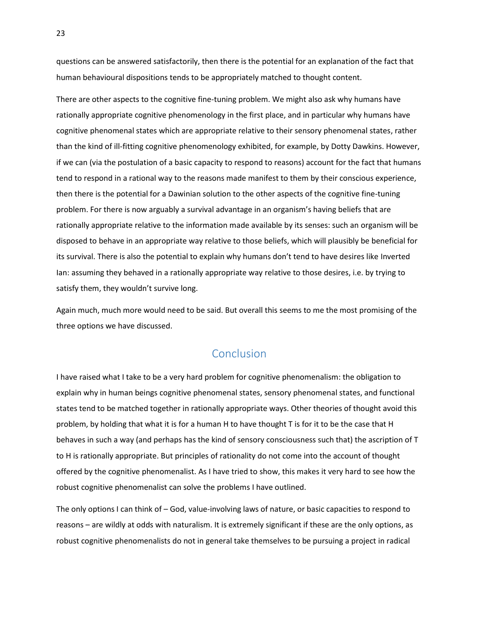questions can be answered satisfactorily, then there is the potential for an explanation of the fact that human behavioural dispositions tends to be appropriately matched to thought content.

There are other aspects to the cognitive fine-tuning problem. We might also ask why humans have rationally appropriate cognitive phenomenology in the first place, and in particular why humans have cognitive phenomenal states which are appropriate relative to their sensory phenomenal states, rather than the kind of ill-fitting cognitive phenomenology exhibited, for example, by Dotty Dawkins. However, if we can (via the postulation of a basic capacity to respond to reasons) account for the fact that humans tend to respond in a rational way to the reasons made manifest to them by their conscious experience, then there is the potential for a Dawinian solution to the other aspects of the cognitive fine-tuning problem. For there is now arguably a survival advantage in an organism's having beliefs that are rationally appropriate relative to the information made available by its senses: such an organism will be disposed to behave in an appropriate way relative to those beliefs, which will plausibly be beneficial for its survival. There is also the potential to explain why humans don't tend to have desires like Inverted Ian: assuming they behaved in a rationally appropriate way relative to those desires, i.e. by trying to satisfy them, they wouldn't survive long.

Again much, much more would need to be said. But overall this seems to me the most promising of the three options we have discussed.

## Conclusion

I have raised what I take to be a very hard problem for cognitive phenomenalism: the obligation to explain why in human beings cognitive phenomenal states, sensory phenomenal states, and functional states tend to be matched together in rationally appropriate ways. Other theories of thought avoid this problem, by holding that what it is for a human H to have thought T is for it to be the case that H behaves in such a way (and perhaps has the kind of sensory consciousness such that) the ascription of T to H is rationally appropriate. But principles of rationality do not come into the account of thought offered by the cognitive phenomenalist. As I have tried to show, this makes it very hard to see how the robust cognitive phenomenalist can solve the problems I have outlined.

The only options I can think of – God, value-involving laws of nature, or basic capacities to respond to reasons – are wildly at odds with naturalism. It is extremely significant if these are the only options, as robust cognitive phenomenalists do not in general take themselves to be pursuing a project in radical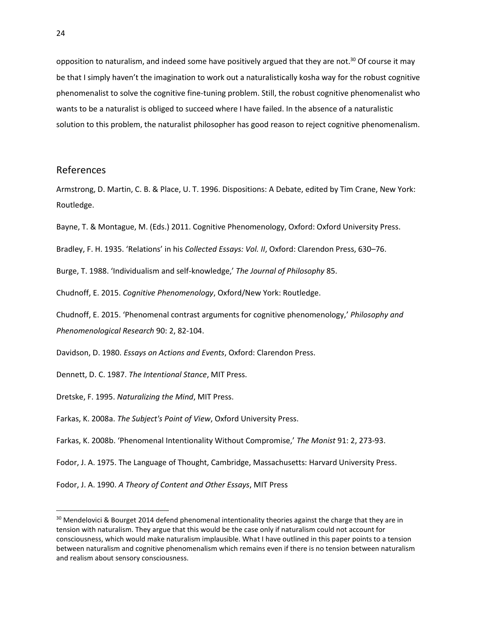opposition to naturalism, and indeed some have positively argued that they are not.<sup>30</sup> Of course it may be that I simply haven't the imagination to work out a naturalistically kosha way for the robust cognitive phenomenalist to solve the cognitive fine-tuning problem. Still, the robust cognitive phenomenalist who wants to be a naturalist is obliged to succeed where I have failed. In the absence of a naturalistic solution to this problem, the naturalist philosopher has good reason to reject cognitive phenomenalism.

#### References

l

Armstrong, D. Martin, C. B. & Place, U. T. 1996. Dispositions: A Debate, edited by Tim Crane, New York: Routledge.

Bayne, T. & Montague, M. (Eds.) 2011. Cognitive Phenomenology, Oxford: Oxford University Press.

Bradley, F. H. 1935. 'Relations' in his *Collected Essays: Vol. II*, Oxford: Clarendon Press, 630–76.

Burge, T. 1988. 'Individualism and self-knowledge,' *The Journal of Philosophy* 85.

Chudnoff, E. 2015. *Cognitive Phenomenology*, Oxford/New York: Routledge.

Chudnoff, E. 2015. 'Phenomenal contrast arguments for cognitive phenomenology,' *Philosophy and Phenomenological Research* 90: 2, 82-104.

Davidson, D. 1980. *Essays on Actions and Events*, Oxford: Clarendon Press.

Dennett, D. C. 1987. *The Intentional Stance*, MIT Press.

Dretske, F. 1995. *Naturalizing the Mind*, MIT Press.

Farkas, K. 2008a. *The Subject's Point of View*, Oxford University Press.

Farkas, K. 2008b. 'Phenomenal Intentionality Without Compromise,' *The Monist* 91: 2, 273-93.

Fodor, J. A. 1975. The Language of Thought, Cambridge, Massachusetts: Harvard University Press.

Fodor, J. A. 1990. *A Theory of Content and Other Essays*, MIT Press

<sup>&</sup>lt;sup>30</sup> Mendelovici & Bourget 2014 defend phenomenal intentionality theories against the charge that they are in tension with naturalism. They argue that this would be the case only if naturalism could not account for consciousness, which would make naturalism implausible. What I have outlined in this paper points to a tension between naturalism and cognitive phenomenalism which remains even if there is no tension between naturalism and realism about sensory consciousness.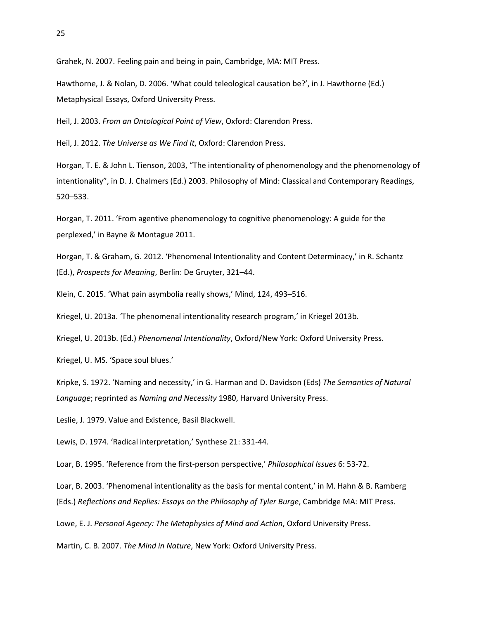Grahek, N. 2007. Feeling pain and being in pain, Cambridge, MA: MIT Press.

Hawthorne, J. & Nolan, D. 2006. 'What could teleological causation be?', in J. Hawthorne (Ed.) Metaphysical Essays, Oxford University Press.

Heil, J. 2003. *From an Ontological Point of View*, Oxford: Clarendon Press.

Heil, J. 2012. *The Universe as We Find It*, Oxford: Clarendon Press.

Horgan, T. E. & John L. Tienson, 2003, "The intentionality of phenomenology and the phenomenology of intentionality", in D. J. Chalmers (Ed.) 2003. Philosophy of Mind: Classical and Contemporary Readings, 520–533.

Horgan, T. 2011. 'From agentive phenomenology to cognitive phenomenology: A guide for the perplexed,' in Bayne & Montague 2011.

Horgan, T. & Graham, G. 2012. 'Phenomenal Intentionality and Content Determinacy,' in R. Schantz (Ed.), *Prospects for Meaning*, Berlin: De Gruyter, 321–44.

Klein, C. 2015. 'What pain asymbolia really shows,' Mind, 124, 493–516.

Kriegel, U. 2013a. 'The phenomenal intentionality research program,' in Kriegel 2013b.

Kriegel, U. 2013b. (Ed.) *Phenomenal Intentionality*, Oxford/New York: Oxford University Press.

Kriegel, U. MS. 'Space soul blues.'

Kripke, S. 1972. 'Naming and necessity,' in G. Harman and D. Davidson (Eds) *The Semantics of Natural Language*; reprinted as *Naming and Necessity* 1980, Harvard University Press.

Leslie, J. 1979. Value and Existence, Basil Blackwell.

Lewis, D. 1974. 'Radical interpretation,' Synthese 21: 331-44.

Loar, B. 1995. 'Reference from the first-person perspective,' *Philosophical Issues* 6: 53-72.

Loar, B. 2003. 'Phenomenal intentionality as the basis for mental content,' in M. Hahn & B. Ramberg (Eds.) *Reflections and Replies: Essays on the Philosophy of Tyler Burge*, Cambridge MA: MIT Press.

Lowe, E. J. *Personal Agency: The Metaphysics of Mind and Action*, Oxford University Press.

Martin, C. B. 2007. *The Mind in Nature*, New York: Oxford University Press.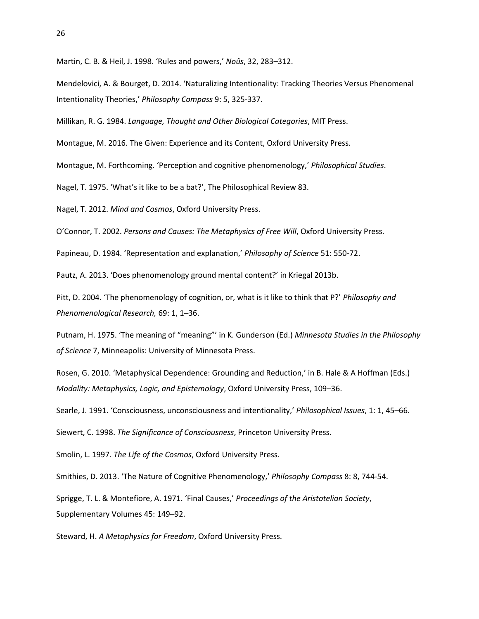Martin, C. B. & Heil, J. 1998. 'Rules and powers,' *Noûs*, 32, 283–312.

Mendelovici, A. & Bourget, D. 2014. 'Naturalizing Intentionality: Tracking Theories Versus Phenomenal Intentionality Theories,' *Philosophy Compass* 9: 5, 325-337.

Millikan, R. G. 1984. *Language, Thought and Other Biological Categories*, MIT Press.

Montague, M. 2016. The Given: Experience and its Content, Oxford University Press.

Montague, M. Forthcoming. 'Perception and cognitive phenomenology,' *Philosophical Studies*.

Nagel, T. 1975. 'What's it like to be a bat?', The Philosophical Review 83.

Nagel, T. 2012. *Mind and Cosmos*, Oxford University Press.

O'Connor, T. 2002. *Persons and Causes: The Metaphysics of Free Will*, Oxford University Press.

Papineau, D. 1984. 'Representation and explanation,' *Philosophy of Science* 51: 550-72.

Pautz, A. 2013. 'Does phenomenology ground mental content?' in Kriegal 2013b.

Pitt, D. 2004. 'The phenomenology of cognition, or, what is it like to think that P?' *Philosophy and Phenomenological Research,* 69: 1, 1–36.

Putnam, H. 1975. 'The meaning of "meaning"' in K. Gunderson (Ed.) *Minnesota Studies in the Philosophy of Science* 7, Minneapolis: University of Minnesota Press.

Rosen, G. 2010. 'Metaphysical Dependence: Grounding and Reduction,' in B. Hale & A Hoffman (Eds.) *Modality: Metaphysics, Logic, and Epistemology*, Oxford University Press, 109–36.

Searle, J. 1991. 'Consciousness, unconsciousness and intentionality,' *Philosophical Issues*, 1: 1, 45–66.

Siewert, C. 1998. *The Significance of Consciousness*, Princeton University Press.

Smolin, L. 1997. *The Life of the Cosmos*, Oxford University Press.

Smithies, D. 2013. 'The Nature of Cognitive Phenomenology,' *Philosophy Compass* 8: 8, 744-54.

Sprigge, T. L. & Montefiore, A. 1971. 'Final Causes,' *Proceedings of the Aristotelian Society*, Supplementary Volumes 45: 149–92.

Steward, H. *A Metaphysics for Freedom*, Oxford University Press.